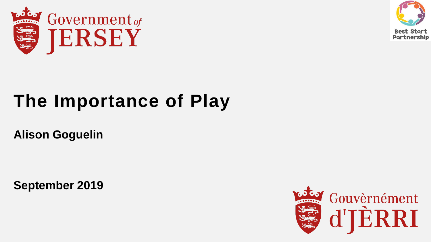



# **The Importance of Play**

**Alison Goguelin** 

**September 2019**

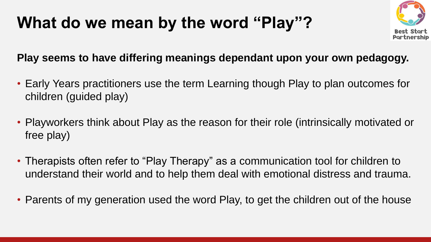### **What do we mean by the word "Play"?**



#### **Play seems to have differing meanings dependant upon your own pedagogy.**

- Early Years practitioners use the term Learning though Play to plan outcomes for children (guided play)
- Playworkers think about Play as the reason for their role (intrinsically motivated or free play)
- Therapists often refer to "Play Therapy" as a communication tool for children to understand their world and to help them deal with emotional distress and trauma.
- Parents of my generation used the word Play, to get the children out of the house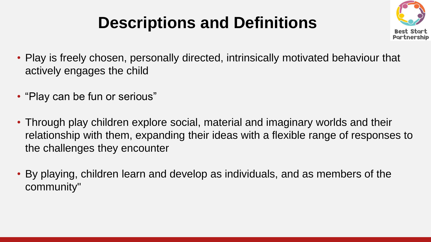## **Descriptions and Definitions**



- Play is freely chosen, personally directed, intrinsically motivated behaviour that actively engages the child
- "Play can be fun or serious"
- Through play children explore social, material and imaginary worlds and their relationship with them, expanding their ideas with a flexible range of responses to the challenges they encounter
- By playing, children learn and develop as individuals, and as members of the community"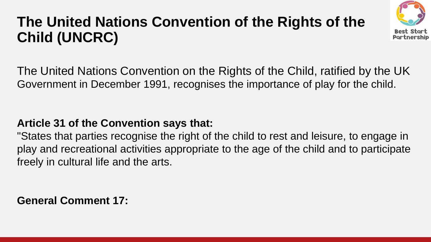### **The United Nations Convention of the Rights of the Child (UNCRC)**



The United Nations Convention on the Rights of the Child, ratified by the UK Government in December 1991, recognises the importance of play for the child.

#### **Article 31 of the Convention says that:**

"States that parties recognise the right of the child to rest and leisure, to engage in play and recreational activities appropriate to the age of the child and to participate freely in cultural life and the arts.

**General Comment 17:**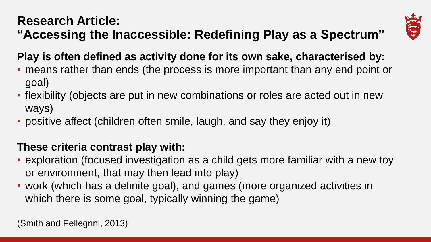#### **Research Article: "Accessing the Inaccessible: Redefining Play as a Spectrum"**



**Play is often defined as activity done for its own sake, characterised by:**

- means rather than ends (the process is more important than any end point or goal)
- flexibility (objects are put in new combinations or roles are acted out in new ways)
- positive affect (children often smile, laugh, and say they enjoy it)

#### **These criteria contrast play with:**

- exploration (focused investigation as a child gets more familiar with a new toy or environment, that may then lead into play)
- work (which has a definite goal), and games (more organized activities in which there is some goal, typically winning the game)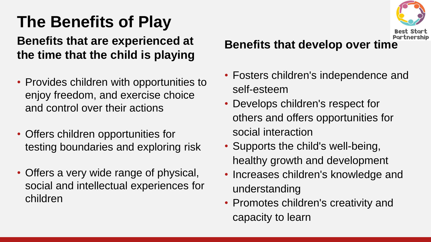## **The Benefits of Play**

#### **Benefits that are experienced at the time that the child is playing**

- Provides children with opportunities to enjoy freedom, and exercise choice and control over their actions
- Offers children opportunities for testing boundaries and exploring risk
- Offers a very wide range of physical, social and intellectual experiences for children

#### **Benefits that develop over time**

- Fosters children's independence and self-esteem
- Develops children's respect for others and offers opportunities for social interaction
- Supports the child's well-being, healthy growth and development
- Increases children's knowledge and understanding
- Promotes children's creativity and capacity to learn

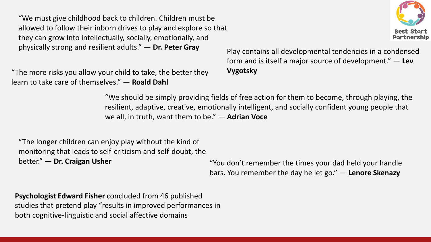"We must give childhood back to children. Children must be allowed to follow their inborn drives to play and explore so that they can grow into intellectually, socially, emotionally, and physically strong and resilient adults." — **Dr. Peter Gray** Play contains all developmental tendencies in a condensed

"The more risks you allow your child to take, the better they **Vygotsky** learn to take care of themselves." — **Roald Dahl**

form and is itself a major source of development." — **Lev** 

"We should be simply providing fields of free action for them to become, through playing, the resilient, adaptive, creative, emotionally intelligent, and socially confident young people that we all, in truth, want them to be." — **Adrian Voce**

"The longer children can enjoy play without the kind of monitoring that leads to self-criticism and self-doubt, the better." — **Dr. Craigan Usher** "You don't remember the times your dad held your handle

bars. You remember the day he let go." — **Lenore Skenazy**

**Psychologist Edward Fisher** concluded from 46 published studies that pretend play "results in improved performances in both cognitive-linguistic and social affective domains

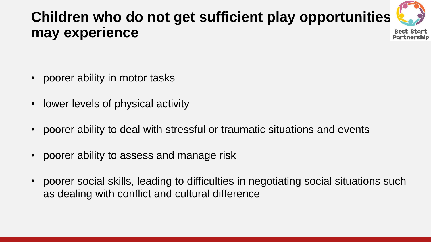### **Children who do not get sufficient play opportunities may experience**



- poorer ability in motor tasks
- lower levels of physical activity
- poorer ability to deal with stressful or traumatic situations and events
- poorer ability to assess and manage risk
- poorer social skills, leading to difficulties in negotiating social situations such as dealing with conflict and cultural difference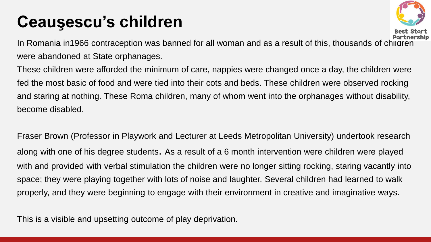### **Ceauşescu's children**



In Romania in1966 contraception was banned for all woman and as a result of this, thousands of children were abandoned at State orphanages.

These children were afforded the minimum of care, nappies were changed once a day, the children were fed the most basic of food and were tied into their cots and beds. These children were observed rocking and staring at nothing. These Roma children, many of whom went into the orphanages without disability, become disabled.

Fraser Brown (Professor in Playwork and Lecturer at Leeds Metropolitan University) undertook research along with one of his degree students. As a result of a 6 month intervention were children were played with and provided with verbal stimulation the children were no longer sitting rocking, staring vacantly into space; they were playing together with lots of noise and laughter. Several children had learned to walk properly, and they were beginning to engage with their environment in creative and imaginative ways.

This is a visible and upsetting outcome of play deprivation.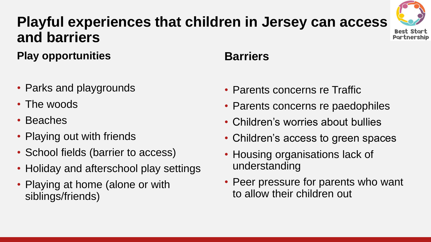### **Playful experiences that children in Jersey can access and barriers**



**Play opportunities**

- Parks and playgrounds
- The woods
- Beaches
- Playing out with friends
- School fields (barrier to access)
- Holiday and afterschool play settings
- Playing at home (alone or with siblings/friends)

#### **Barriers**

- Parents concerns re Traffic
- Parents concerns re paedophiles
- Children's worries about bullies
- Children's access to green spaces
- Housing organisations lack of understanding
- Peer pressure for parents who want to allow their children out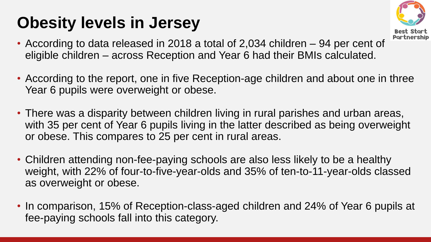### **Obesity levels in Jersey**



- According to data released in 2018 a total of 2,034 children 94 per cent of eligible children – across Reception and Year 6 had their BMIs calculated.
- According to the report, one in five Reception-age children and about one in three Year 6 pupils were overweight or obese.
- There was a disparity between children living in rural parishes and urban areas, with 35 per cent of Year 6 pupils living in the latter described as being overweight or obese. This compares to 25 per cent in rural areas.
- Children attending non-fee-paying schools are also less likely to be a healthy weight, with 22% of four-to-five-year-olds and 35% of ten-to-11-year-olds classed as overweight or obese.
- In comparison, 15% of Reception-class-aged children and 24% of Year 6 pupils at fee-paying schools fall into this category.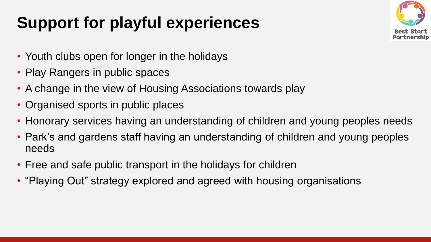## **Support for playful experiences**



- Youth clubs open for longer in the holidays
- Play Rangers in public spaces
- A change in the view of Housing Associations towards play
- Organised sports in public places
- Honorary services having an understanding of children and young peoples needs
- Park's and gardens staff having an understanding of children and young peoples needs
- Free and safe public transport in the holidays for children
- "Playing Out" strategy explored and agreed with housing organisations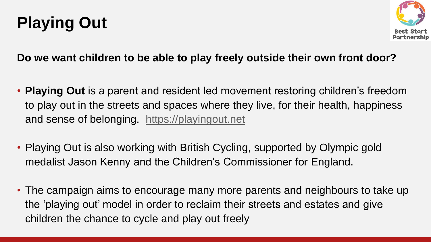## **Playing Out**



#### **Do we want children to be able to play freely outside their own front door?**

- **Playing Out** is a parent and resident led movement restoring children's freedom to play out in the streets and spaces where they live, for their health, happiness and sense of belonging. [https://playingout.net](https://playingout.net/)
- Playing Out is also working with British Cycling, supported by Olympic gold medalist Jason Kenny and the Children's Commissioner for England.
- The campaign aims to encourage many more parents and neighbours to take up the 'playing out' model in order to reclaim their streets and estates and give children the chance to cycle and play out freely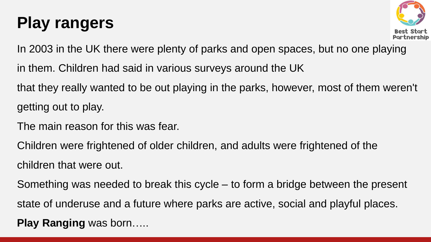### **Play rangers**



In 2003 in the UK there were plenty of parks and open spaces, but no one playing

in them. Children had said in various surveys around the UK

that they really wanted to be out playing in the parks, however, most of them weren't getting out to play.

The main reason for this was fear.

Children were frightened of older children, and adults were frightened of the children that were out.

Something was needed to break this cycle – to form a bridge between the present state of underuse and a future where parks are active, social and playful places.

**Play Ranging** was born…..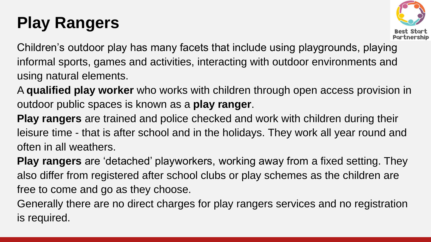## **Play Rangers**



Children's outdoor play has many facets that include using playgrounds, playing informal sports, games and activities, interacting with outdoor environments and using natural elements.

A **qualified play worker** who works with children through open access provision in outdoor public spaces is known as a **play ranger**.

**Play rangers** are trained and police checked and work with children during their leisure time - that is after school and in the holidays. They work all year round and often in all weathers.

**Play rangers** are 'detached' playworkers, working away from a fixed setting. They also differ from registered after school clubs or play schemes as the children are free to come and go as they choose.

Generally there are no direct charges for play rangers services and no registration is required.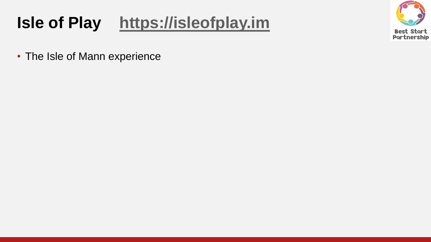### **Isle of Play [https://isleofplay.im](https://isleofplay.im/)**



• The Isle of Mann experience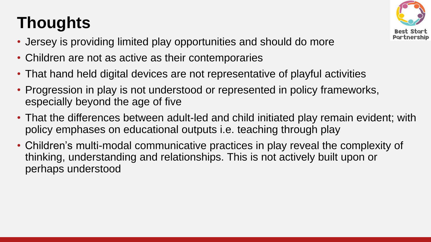## **Thoughts**



- Jersey is providing limited play opportunities and should do more
- Children are not as active as their contemporaries
- That hand held digital devices are not representative of playful activities
- Progression in play is not understood or represented in policy frameworks, especially beyond the age of five
- That the differences between adult-led and child initiated play remain evident; with policy emphases on educational outputs i.e. teaching through play
- Children's multi-modal communicative practices in play reveal the complexity of thinking, understanding and relationships. This is not actively built upon or perhaps understood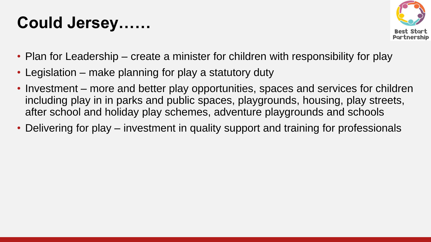### **Could Jersey……**



- Plan for Leadership create a minister for children with responsibility for play
- Legislation make planning for play a statutory duty
- Investment more and better play opportunities, spaces and services for children including play in in parks and public spaces, playgrounds, housing, play streets, after school and holiday play schemes, adventure playgrounds and schools
- Delivering for play investment in quality support and training for professionals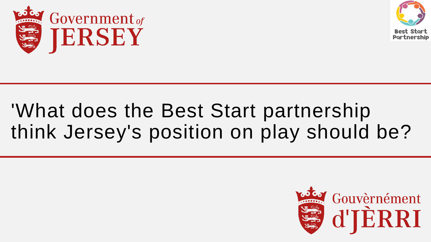



# 'What does the Best Start partnership think Jersey's position on play should be?

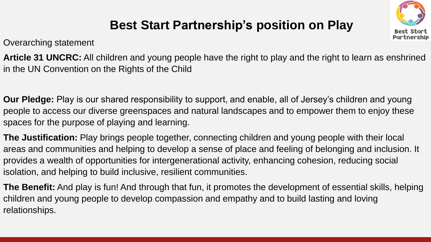

### **Best Start Partnership's position on Play**

Overarching statement

**Article 31 UNCRC:** All children and young people have the right to play and the right to learn as enshrined in the UN Convention on the Rights of the Child

**Our Pledge:** Play is our shared responsibility to support, and enable, all of Jersey's children and young people to access our diverse greenspaces and natural landscapes and to empower them to enjoy these spaces for the purpose of playing and learning.

**The Justification:** Play brings people together, connecting children and young people with their local areas and communities and helping to develop a sense of place and feeling of belonging and inclusion. It provides a wealth of opportunities for intergenerational activity, enhancing cohesion, reducing social isolation, and helping to build inclusive, resilient communities.

**The Benefit:** And play is fun! And through that fun, it promotes the development of essential skills, helping children and young people to develop compassion and empathy and to build lasting and loving relationships.